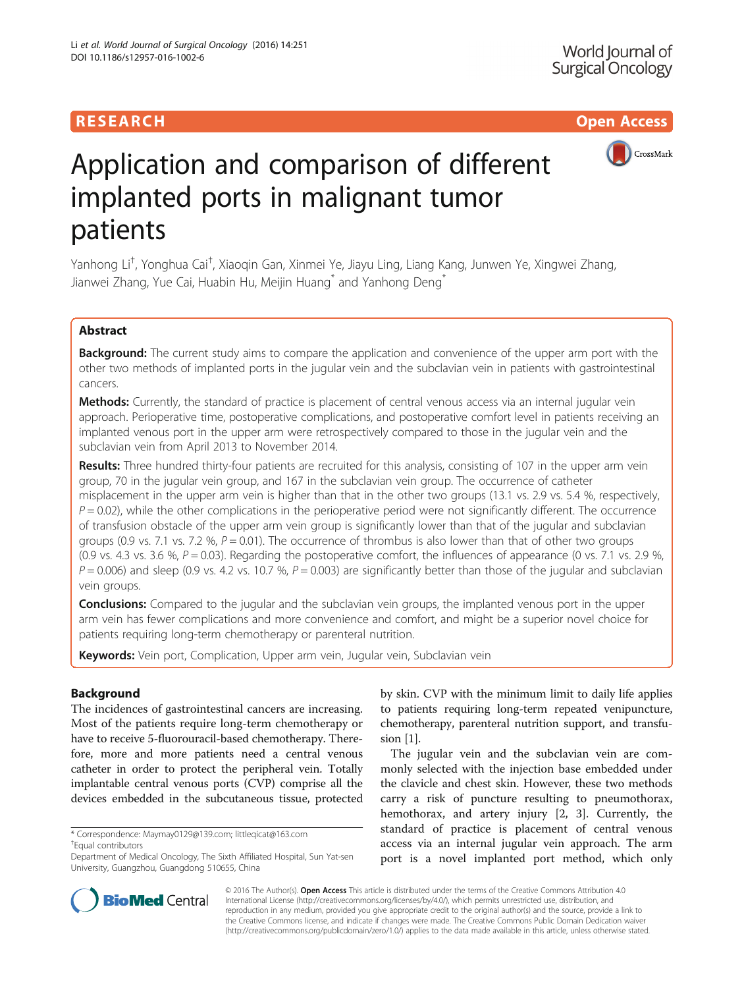# **RESEARCH CHILD CONTROL** CONTROL CONTROL CONTROL CONTROL CONTROL CONTROL CONTROL CONTROL CONTROL CONTROL CONTROL CONTROL CONTROL CONTROL CONTROL CONTROL CONTROL CONTROL CONTROL CONTROL CONTROL CONTROL CONTROL CONTROL CONTR



# Application and comparison of different implanted ports in malignant tumor patients

Yanhong Li<sup>†</sup>, Yonghua Cai<sup>†</sup>, Xiaoqin Gan, Xinmei Ye, Jiayu Ling, Liang Kang, Junwen Ye, Xingwei Zhang, Jianwei Zhang, Yue Cai, Huabin Hu, Meijin Huang<sup>\*</sup> and Yanhong Deng<sup>\*</sup>

## Abstract

Background: The current study aims to compare the application and convenience of the upper arm port with the other two methods of implanted ports in the jugular vein and the subclavian vein in patients with gastrointestinal cancers.

Methods: Currently, the standard of practice is placement of central venous access via an internal jugular vein approach. Perioperative time, postoperative complications, and postoperative comfort level in patients receiving an implanted venous port in the upper arm were retrospectively compared to those in the jugular vein and the subclavian vein from April 2013 to November 2014.

Results: Three hundred thirty-four patients are recruited for this analysis, consisting of 107 in the upper arm vein group, 70 in the jugular vein group, and 167 in the subclavian vein group. The occurrence of catheter misplacement in the upper arm vein is higher than that in the other two groups (13.1 vs. 2.9 vs. 5.4 %, respectively,  $P = 0.02$ ), while the other complications in the perioperative period were not significantly different. The occurrence of transfusion obstacle of the upper arm vein group is significantly lower than that of the jugular and subclavian groups (0.9 vs. 7.1 vs. 7.2 %,  $P = 0.01$ ). The occurrence of thrombus is also lower than that of other two groups (0.9 vs. 4.3 vs. 3.6 %,  $P = 0.03$ ). Regarding the postoperative comfort, the influences of appearance (0 vs. 7.1 vs. 2.9 %,  $P = 0.006$ ) and sleep (0.9 vs. 4.2 vs. 10.7 %,  $P = 0.003$ ) are significantly better than those of the jugular and subclavian vein groups.

**Conclusions:** Compared to the jugular and the subclavian vein groups, the implanted venous port in the upper arm vein has fewer complications and more convenience and comfort, and might be a superior novel choice for patients requiring long-term chemotherapy or parenteral nutrition.

Keywords: Vein port, Complication, Upper arm vein, Jugular vein, Subclavian vein

### Background

The incidences of gastrointestinal cancers are increasing. Most of the patients require long-term chemotherapy or have to receive 5-fluorouracil-based chemotherapy. Therefore, more and more patients need a central venous catheter in order to protect the peripheral vein. Totally implantable central venous ports (CVP) comprise all the devices embedded in the subcutaneous tissue, protected

by skin. CVP with the minimum limit to daily life applies to patients requiring long-term repeated venipuncture, chemotherapy, parenteral nutrition support, and transfusion [\[1\]](#page-4-0).

The jugular vein and the subclavian vein are commonly selected with the injection base embedded under the clavicle and chest skin. However, these two methods carry a risk of puncture resulting to pneumothorax, hemothorax, and artery injury [[2, 3](#page-4-0)]. Currently, the standard of practice is placement of central venous access via an internal jugular vein approach. The arm port is a novel implanted port method, which only



© 2016 The Author(s). Open Access This article is distributed under the terms of the Creative Commons Attribution 4.0 International License [\(http://creativecommons.org/licenses/by/4.0/](http://creativecommons.org/licenses/by/4.0/)), which permits unrestricted use, distribution, and reproduction in any medium, provided you give appropriate credit to the original author(s) and the source, provide a link to the Creative Commons license, and indicate if changes were made. The Creative Commons Public Domain Dedication waiver [\(http://creativecommons.org/publicdomain/zero/1.0/](http://creativecommons.org/publicdomain/zero/1.0/)) applies to the data made available in this article, unless otherwise stated.

<sup>\*</sup> Correspondence: [Maymay0129@139.com;](mailto:Maymay0129@139.com) [littleqicat@163.com](mailto:littleqicat@163.com) †

Equal contributors

Department of Medical Oncology, The Sixth Affiliated Hospital, Sun Yat-sen University, Guangzhou, Guangdong 510655, China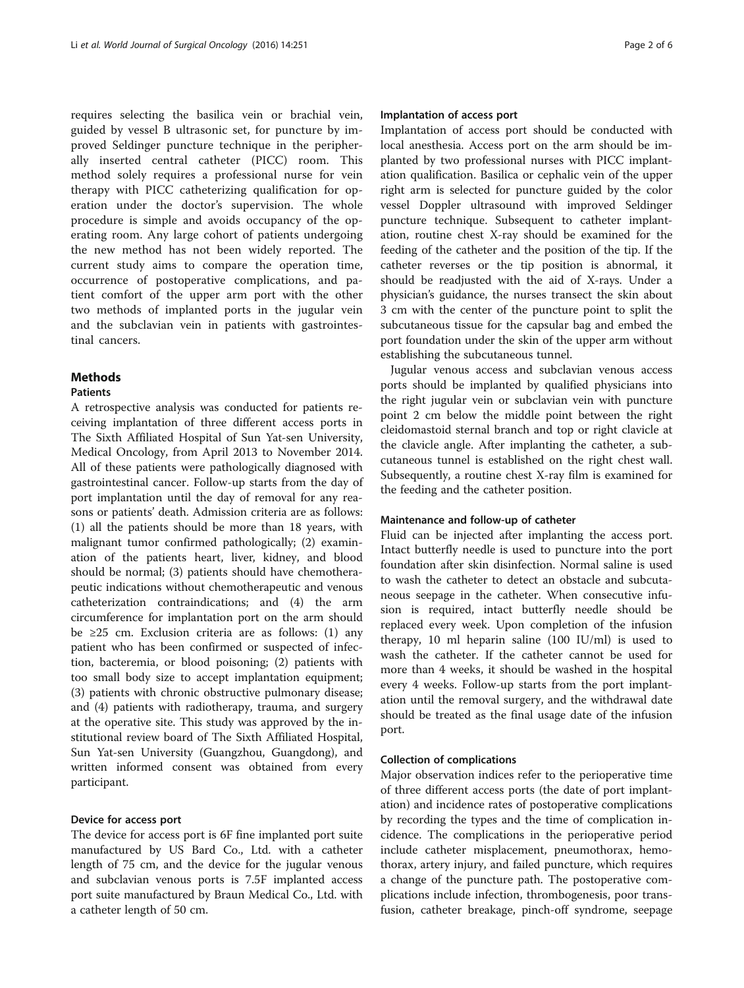requires selecting the basilica vein or brachial vein, guided by vessel B ultrasonic set, for puncture by improved Seldinger puncture technique in the peripherally inserted central catheter (PICC) room. This method solely requires a professional nurse for vein therapy with PICC catheterizing qualification for operation under the doctor's supervision. The whole procedure is simple and avoids occupancy of the operating room. Any large cohort of patients undergoing the new method has not been widely reported. The current study aims to compare the operation time, occurrence of postoperative complications, and patient comfort of the upper arm port with the other two methods of implanted ports in the jugular vein and the subclavian vein in patients with gastrointestinal cancers.

### **Methods**

#### **Patients**

A retrospective analysis was conducted for patients receiving implantation of three different access ports in The Sixth Affiliated Hospital of Sun Yat-sen University, Medical Oncology, from April 2013 to November 2014. All of these patients were pathologically diagnosed with gastrointestinal cancer. Follow-up starts from the day of port implantation until the day of removal for any reasons or patients' death. Admission criteria are as follows: (1) all the patients should be more than 18 years, with malignant tumor confirmed pathologically; (2) examination of the patients heart, liver, kidney, and blood should be normal; (3) patients should have chemotherapeutic indications without chemotherapeutic and venous catheterization contraindications; and (4) the arm circumference for implantation port on the arm should be ≥25 cm. Exclusion criteria are as follows: (1) any patient who has been confirmed or suspected of infection, bacteremia, or blood poisoning; (2) patients with too small body size to accept implantation equipment; (3) patients with chronic obstructive pulmonary disease; and (4) patients with radiotherapy, trauma, and surgery at the operative site. This study was approved by the institutional review board of The Sixth Affiliated Hospital, Sun Yat-sen University (Guangzhou, Guangdong), and written informed consent was obtained from every participant.

#### Device for access port

The device for access port is 6F fine implanted port suite manufactured by US Bard Co., Ltd. with a catheter length of 75 cm, and the device for the jugular venous and subclavian venous ports is 7.5F implanted access port suite manufactured by Braun Medical Co., Ltd. with a catheter length of 50 cm.

#### Implantation of access port

Implantation of access port should be conducted with local anesthesia. Access port on the arm should be implanted by two professional nurses with PICC implantation qualification. Basilica or cephalic vein of the upper right arm is selected for puncture guided by the color vessel Doppler ultrasound with improved Seldinger puncture technique. Subsequent to catheter implantation, routine chest X-ray should be examined for the feeding of the catheter and the position of the tip. If the catheter reverses or the tip position is abnormal, it should be readjusted with the aid of X-rays. Under a physician's guidance, the nurses transect the skin about 3 cm with the center of the puncture point to split the subcutaneous tissue for the capsular bag and embed the port foundation under the skin of the upper arm without establishing the subcutaneous tunnel.

Jugular venous access and subclavian venous access ports should be implanted by qualified physicians into the right jugular vein or subclavian vein with puncture point 2 cm below the middle point between the right cleidomastoid sternal branch and top or right clavicle at the clavicle angle. After implanting the catheter, a subcutaneous tunnel is established on the right chest wall. Subsequently, a routine chest X-ray film is examined for the feeding and the catheter position.

#### Maintenance and follow-up of catheter

Fluid can be injected after implanting the access port. Intact butterfly needle is used to puncture into the port foundation after skin disinfection. Normal saline is used to wash the catheter to detect an obstacle and subcutaneous seepage in the catheter. When consecutive infusion is required, intact butterfly needle should be replaced every week. Upon completion of the infusion therapy, 10 ml heparin saline (100 IU/ml) is used to wash the catheter. If the catheter cannot be used for more than 4 weeks, it should be washed in the hospital every 4 weeks. Follow-up starts from the port implantation until the removal surgery, and the withdrawal date should be treated as the final usage date of the infusion port.

#### Collection of complications

Major observation indices refer to the perioperative time of three different access ports (the date of port implantation) and incidence rates of postoperative complications by recording the types and the time of complication incidence. The complications in the perioperative period include catheter misplacement, pneumothorax, hemothorax, artery injury, and failed puncture, which requires a change of the puncture path. The postoperative complications include infection, thrombogenesis, poor transfusion, catheter breakage, pinch-off syndrome, seepage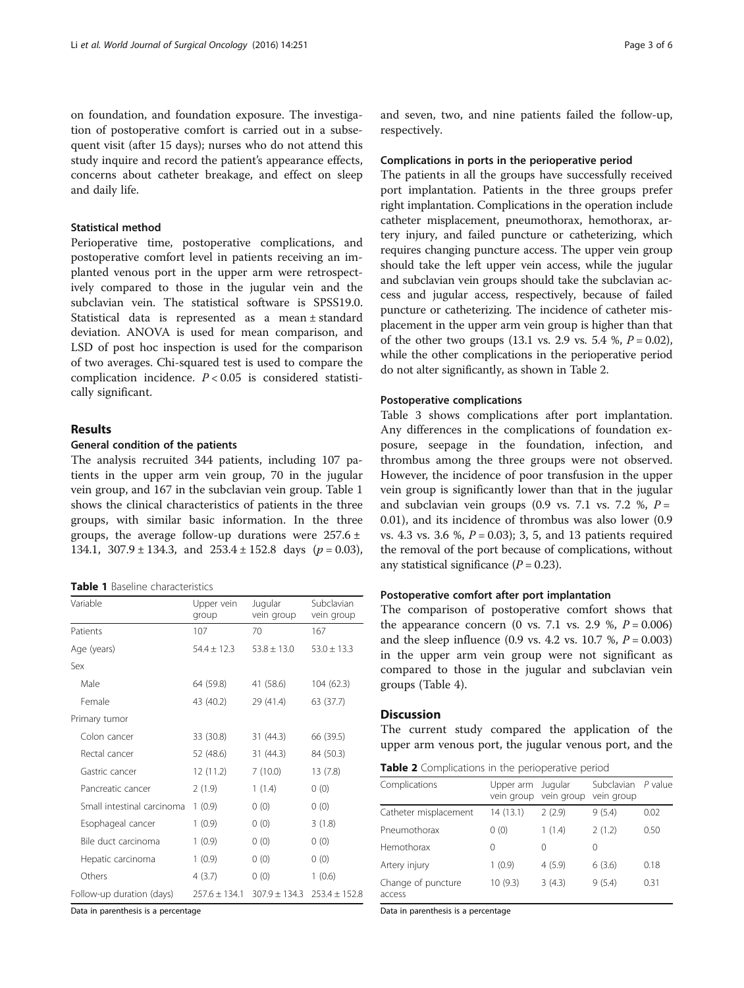on foundation, and foundation exposure. The investigation of postoperative comfort is carried out in a subsequent visit (after 15 days); nurses who do not attend this study inquire and record the patient's appearance effects, concerns about catheter breakage, and effect on sleep and daily life.

#### Statistical method

Perioperative time, postoperative complications, and postoperative comfort level in patients receiving an implanted venous port in the upper arm were retrospectively compared to those in the jugular vein and the subclavian vein. The statistical software is SPSS19.0. Statistical data is represented as a mean ± standard deviation. ANOVA is used for mean comparison, and LSD of post hoc inspection is used for the comparison of two averages. Chi-squared test is used to compare the complication incidence.  $P < 0.05$  is considered statistically significant.

### Results

#### General condition of the patients

The analysis recruited 344 patients, including 107 patients in the upper arm vein group, 70 in the jugular vein group, and 167 in the subclavian vein group. Table 1 shows the clinical characteristics of patients in the three groups, with similar basic information. In the three groups, the average follow-up durations were  $257.6 \pm$ 134.1,  $307.9 \pm 134.3$ , and  $253.4 \pm 152.8$  days ( $p = 0.03$ ),

Table 1 Baseline characteristics

| Variable                   | Upper vein<br>group | Jugular<br>vein group | Subclavian<br>vein group |  |
|----------------------------|---------------------|-----------------------|--------------------------|--|
| Patients                   | 107                 | 70                    | 167                      |  |
| Age (years)                | $54.4 \pm 12.3$     | $53.8 \pm 13.0$       | $53.0 \pm 13.3$          |  |
| Sex                        |                     |                       |                          |  |
| Male                       | 64 (59.8)           | 41 (58.6)             | 104 (62.3)               |  |
| Female                     | 43 (40.2)           | 29 (41.4)             | 63 (37.7)                |  |
| Primary tumor              |                     |                       |                          |  |
| Colon cancer               | 33 (30.8)           | 31(44.3)              | 66 (39.5)                |  |
| Rectal cancer              | 52 (48.6)           | 31(44.3)              | 84 (50.3)                |  |
| Gastric cancer             | 12(11.2)            | 7(10.0)               | 13(7.8)                  |  |
| Pancreatic cancer          | 2(1.9)              | 1(1.4)                | 0(0)                     |  |
| Small intestinal carcinoma | 1(0.9)              | 0(0)                  | 0(0)                     |  |
| Esophageal cancer          | 1(0.9)              | 0(0)                  | 3(1.8)                   |  |
| Bile duct carcinoma        | 1(0.9)              | 0(0)                  | 0(0)                     |  |
| Hepatic carcinoma          | 1(0.9)              | 0(0)                  | 0(0)                     |  |
| Others                     | 4(3.7)              | 0(0)                  | 1(0.6)                   |  |
| Follow-up duration (days)  | $257.6 \pm 134.1$   | $307.9 \pm 134.3$     | $253.4 \pm 152.8$        |  |

Data in parenthesis is a percentage

and seven, two, and nine patients failed the follow-up, respectively.

#### Complications in ports in the perioperative period

The patients in all the groups have successfully received port implantation. Patients in the three groups prefer right implantation. Complications in the operation include catheter misplacement, pneumothorax, hemothorax, artery injury, and failed puncture or catheterizing, which requires changing puncture access. The upper vein group should take the left upper vein access, while the jugular and subclavian vein groups should take the subclavian access and jugular access, respectively, because of failed puncture or catheterizing. The incidence of catheter misplacement in the upper arm vein group is higher than that of the other two groups (13.1 vs. 2.9 vs. 5.4 %,  $P = 0.02$ ), while the other complications in the perioperative period do not alter significantly, as shown in Table 2.

#### Postoperative complications

Table [3](#page-3-0) shows complications after port implantation. Any differences in the complications of foundation exposure, seepage in the foundation, infection, and thrombus among the three groups were not observed. However, the incidence of poor transfusion in the upper vein group is significantly lower than that in the jugular and subclavian vein groups (0.9 vs. 7.1 vs. 7.2 %,  $P =$ 0.01), and its incidence of thrombus was also lower (0.9 vs. 4.3 vs. 3.6 %,  $P = 0.03$ ; 3, 5, and 13 patients required the removal of the port because of complications, without any statistical significance  $(P = 0.23)$ .

#### Postoperative comfort after port implantation

The comparison of postoperative comfort shows that the appearance concern (0 vs. 7.1 vs. 2.9 %,  $P = 0.006$ ) and the sleep influence  $(0.9 \text{ vs. } 4.2 \text{ vs. } 10.7 \text{ %}, P = 0.003)$ in the upper arm vein group were not significant as compared to those in the jugular and subclavian vein groups (Table [4\)](#page-3-0).

#### **Discussion**

The current study compared the application of the upper arm venous port, the jugular venous port, and the

|  |  | <b>Table 2</b> Complications in the perioperative period |  |  |  |  |
|--|--|----------------------------------------------------------|--|--|--|--|
|--|--|----------------------------------------------------------|--|--|--|--|

| Complications                | Upper arm Jugular | vein group vein group | Subclavian<br>vein group | $P$ value |
|------------------------------|-------------------|-----------------------|--------------------------|-----------|
| Catheter misplacement        | 14 (13.1)         | 2(2.9)                | 9(5.4)                   | 0.02      |
| Pneumothorax                 | 0(0)              | 1(1.4)                | 2(1.2)                   | 0.50      |
| Hemothorax                   | 0                 | 0                     | 0                        |           |
| Artery injury                | 1(0.9)            | 4(5.9)                | 6(3.6)                   | 0.18      |
| Change of puncture<br>access | 10(9.3)           | 3(4.3)                | 9(5.4)                   | 0.31      |

Data in parenthesis is a percentage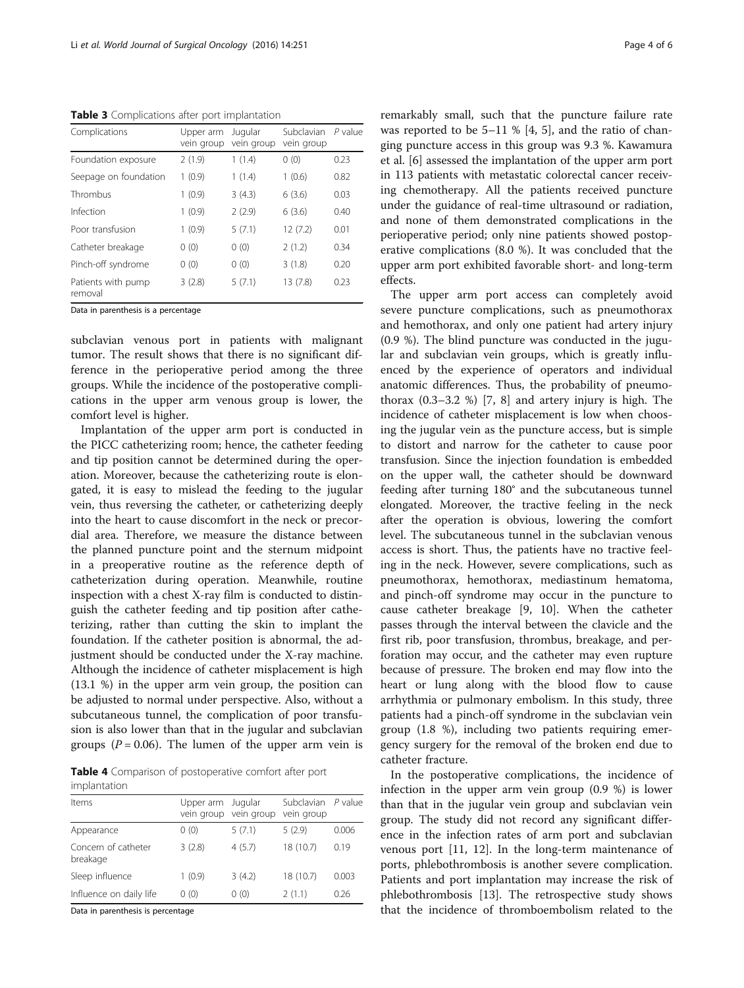<span id="page-3-0"></span>Table 3 Complications after port implantation

| Complications                 | Upper arm<br>vein group | Jugular<br>vein group | Subclavian<br>vein group | $P$ value |
|-------------------------------|-------------------------|-----------------------|--------------------------|-----------|
| Foundation exposure           | 2(1.9)                  | 1(1.4)                | 0(0)                     | 0.23      |
| Seepage on foundation         | 1(0.9)                  | 1(1.4)                | 1(0.6)                   | 0.82      |
| Thrombus                      | 1(0.9)                  | 3(4.3)                | 6(3.6)                   | 0.03      |
| Infection                     | 1(0.9)                  | 2(2.9)                | 6(3.6)                   | 0.40      |
| Poor transfusion              | 1(0.9)                  | 5(7.1)                | 12(7.2)                  | 0.01      |
| Catheter breakage             | 0(0)                    | 0(0)                  | 2(1.2)                   | 0.34      |
| Pinch-off syndrome            | 0(0)                    | 0(0)                  | 3(1.8)                   | 0.20      |
| Patients with pump<br>removal | 3(2.8)                  | 5(7.1)                | 13(7.8)                  | 0.23      |

Data in parenthesis is a percentage

subclavian venous port in patients with malignant tumor. The result shows that there is no significant difference in the perioperative period among the three groups. While the incidence of the postoperative complications in the upper arm venous group is lower, the comfort level is higher.

Implantation of the upper arm port is conducted in the PICC catheterizing room; hence, the catheter feeding and tip position cannot be determined during the operation. Moreover, because the catheterizing route is elongated, it is easy to mislead the feeding to the jugular vein, thus reversing the catheter, or catheterizing deeply into the heart to cause discomfort in the neck or precordial area. Therefore, we measure the distance between the planned puncture point and the sternum midpoint in a preoperative routine as the reference depth of catheterization during operation. Meanwhile, routine inspection with a chest X-ray film is conducted to distinguish the catheter feeding and tip position after catheterizing, rather than cutting the skin to implant the foundation. If the catheter position is abnormal, the adjustment should be conducted under the X-ray machine. Although the incidence of catheter misplacement is high (13.1 %) in the upper arm vein group, the position can be adjusted to normal under perspective. Also, without a subcutaneous tunnel, the complication of poor transfusion is also lower than that in the jugular and subclavian groups ( $P = 0.06$ ). The lumen of the upper arm vein is

Table 4 Comparison of postoperative comfort after port implantation

| Items                           | Upper arm Jugular | vein group vein group | Subclavian P value<br>vein group |       |
|---------------------------------|-------------------|-----------------------|----------------------------------|-------|
| Appearance                      | 0(0)              | 5(7.1)                | 5(2.9)                           | 0.006 |
| Concern of catheter<br>breakage | 3(2.8)            | 4(5.7)                | 18 (10.7)                        | 0.19  |
| Sleep influence                 | 1(0.9)            | 3(4.2)                | 18 (10.7)                        | 0.003 |
| Influence on daily life         | 0(0)              | 0(0)                  | 2(1.1)                           | 0.26  |

Data in parenthesis is percentage

remarkably small, such that the puncture failure rate was reported to be 5–11 % [\[4](#page-4-0), [5\]](#page-4-0), and the ratio of changing puncture access in this group was 9.3 %. Kawamura et al. [\[6](#page-4-0)] assessed the implantation of the upper arm port in 113 patients with metastatic colorectal cancer receiving chemotherapy. All the patients received puncture under the guidance of real-time ultrasound or radiation, and none of them demonstrated complications in the perioperative period; only nine patients showed postoperative complications (8.0 %). It was concluded that the upper arm port exhibited favorable short- and long-term effects.

The upper arm port access can completely avoid severe puncture complications, such as pneumothorax and hemothorax, and only one patient had artery injury (0.9 %). The blind puncture was conducted in the jugular and subclavian vein groups, which is greatly influenced by the experience of operators and individual anatomic differences. Thus, the probability of pneumothorax (0.3–3.2 %) [[7, 8\]](#page-4-0) and artery injury is high. The incidence of catheter misplacement is low when choosing the jugular vein as the puncture access, but is simple to distort and narrow for the catheter to cause poor transfusion. Since the injection foundation is embedded on the upper wall, the catheter should be downward feeding after turning 180° and the subcutaneous tunnel elongated. Moreover, the tractive feeling in the neck after the operation is obvious, lowering the comfort level. The subcutaneous tunnel in the subclavian venous access is short. Thus, the patients have no tractive feeling in the neck. However, severe complications, such as pneumothorax, hemothorax, mediastinum hematoma, and pinch-off syndrome may occur in the puncture to cause catheter breakage [\[9, 10](#page-4-0)]. When the catheter passes through the interval between the clavicle and the first rib, poor transfusion, thrombus, breakage, and perforation may occur, and the catheter may even rupture because of pressure. The broken end may flow into the heart or lung along with the blood flow to cause arrhythmia or pulmonary embolism. In this study, three patients had a pinch-off syndrome in the subclavian vein group (1.8 %), including two patients requiring emergency surgery for the removal of the broken end due to catheter fracture.

In the postoperative complications, the incidence of infection in the upper arm vein group (0.9 %) is lower than that in the jugular vein group and subclavian vein group. The study did not record any significant difference in the infection rates of arm port and subclavian venous port [\[11](#page-4-0), [12\]](#page-4-0). In the long-term maintenance of ports, phlebothrombosis is another severe complication. Patients and port implantation may increase the risk of phlebothrombosis [[13\]](#page-4-0). The retrospective study shows that the incidence of thromboembolism related to the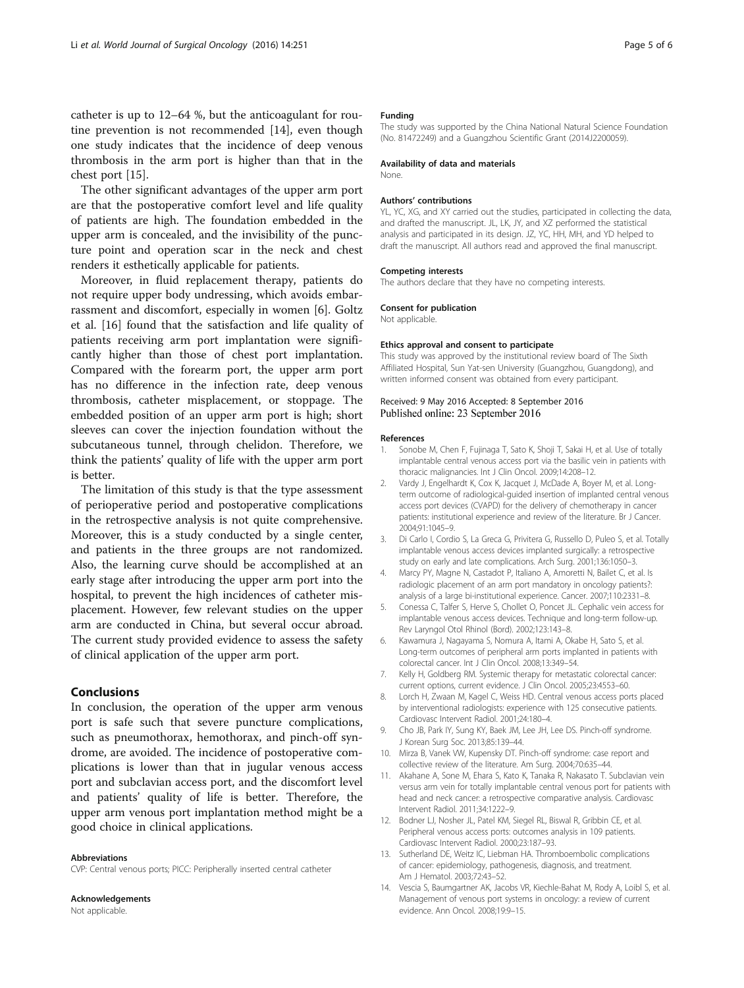<span id="page-4-0"></span>catheter is up to 12–64 %, but the anticoagulant for routine prevention is not recommended [14], even though one study indicates that the incidence of deep venous thrombosis in the arm port is higher than that in the chest port [[15\]](#page-5-0).

The other significant advantages of the upper arm port are that the postoperative comfort level and life quality of patients are high. The foundation embedded in the upper arm is concealed, and the invisibility of the puncture point and operation scar in the neck and chest renders it esthetically applicable for patients.

Moreover, in fluid replacement therapy, patients do not require upper body undressing, which avoids embarrassment and discomfort, especially in women [6]. Goltz et al. [\[16](#page-5-0)] found that the satisfaction and life quality of patients receiving arm port implantation were significantly higher than those of chest port implantation. Compared with the forearm port, the upper arm port has no difference in the infection rate, deep venous thrombosis, catheter misplacement, or stoppage. The embedded position of an upper arm port is high; short sleeves can cover the injection foundation without the subcutaneous tunnel, through chelidon. Therefore, we think the patients' quality of life with the upper arm port is better.

The limitation of this study is that the type assessment of perioperative period and postoperative complications in the retrospective analysis is not quite comprehensive. Moreover, this is a study conducted by a single center, and patients in the three groups are not randomized. Also, the learning curve should be accomplished at an early stage after introducing the upper arm port into the hospital, to prevent the high incidences of catheter misplacement. However, few relevant studies on the upper arm are conducted in China, but several occur abroad. The current study provided evidence to assess the safety of clinical application of the upper arm port.

#### Conclusions

In conclusion, the operation of the upper arm venous port is safe such that severe puncture complications, such as pneumothorax, hemothorax, and pinch-off syndrome, are avoided. The incidence of postoperative complications is lower than that in jugular venous access port and subclavian access port, and the discomfort level and patients' quality of life is better. Therefore, the upper arm venous port implantation method might be a good choice in clinical applications.

#### Abbreviations

CVP: Central venous ports; PICC: Peripherally inserted central catheter

# Acknowledgements

Not applicable.

#### Funding

The study was supported by the China National Natural Science Foundation (No. 81472249) and a Guangzhou Scientific Grant (2014J2200059).

#### Availability of data and materials

None.

#### Authors' contributions

YL, YC, XG, and XY carried out the studies, participated in collecting the data, and drafted the manuscript. JL, LK, JY, and XZ performed the statistical analysis and participated in its design. JZ, YC, HH, MH, and YD helped to draft the manuscript. All authors read and approved the final manuscript.

#### Competing interests

The authors declare that they have no competing interests.

#### Consent for publication

Not applicable.

#### Ethics approval and consent to participate

This study was approved by the institutional review board of The Sixth Affiliated Hospital, Sun Yat-sen University (Guangzhou, Guangdong), and written informed consent was obtained from every participant.

#### Received: 9 May 2016 Accepted: 8 September 2016 Published online: 23 September 2016

#### References

- 1. Sonobe M, Chen F, Fujinaga T, Sato K, Shoji T, Sakai H, et al. Use of totally implantable central venous access port via the basilic vein in patients with thoracic malignancies. Int J Clin Oncol. 2009;14:208–12.
- 2. Vardy J, Engelhardt K, Cox K, Jacquet J, McDade A, Boyer M, et al. Longterm outcome of radiological-guided insertion of implanted central venous access port devices (CVAPD) for the delivery of chemotherapy in cancer patients: institutional experience and review of the literature. Br J Cancer. 2004;91:1045–9.
- 3. Di Carlo I, Cordio S, La Greca G, Privitera G, Russello D, Puleo S, et al. Totally implantable venous access devices implanted surgically: a retrospective study on early and late complications. Arch Surg. 2001;136:1050–3.
- 4. Marcy PY, Magne N, Castadot P, Italiano A, Amoretti N, Bailet C, et al. Is radiologic placement of an arm port mandatory in oncology patients?: analysis of a large bi-institutional experience. Cancer. 2007;110:2331–8.
- 5. Conessa C, Talfer S, Herve S, Chollet O, Poncet JL. Cephalic vein access for implantable venous access devices. Technique and long-term follow-up. Rev Laryngol Otol Rhinol (Bord). 2002;123:143–8.
- 6. Kawamura J, Nagayama S, Nomura A, Itami A, Okabe H, Sato S, et al. Long-term outcomes of peripheral arm ports implanted in patients with colorectal cancer. Int J Clin Oncol. 2008;13:349–54.
- 7. Kelly H, Goldberg RM. Systemic therapy for metastatic colorectal cancer: current options, current evidence. J Clin Oncol. 2005;23:4553–60.
- 8. Lorch H, Zwaan M, Kagel C, Weiss HD. Central venous access ports placed by interventional radiologists: experience with 125 consecutive patients. Cardiovasc Intervent Radiol. 2001;24:180–4.
- 9. Cho JB, Park IY, Sung KY, Baek JM, Lee JH, Lee DS. Pinch-off syndrome. J Korean Surg Soc. 2013;85:139–44.
- 10. Mirza B, Vanek VW, Kupensky DT. Pinch-off syndrome: case report and collective review of the literature. Am Surg. 2004;70:635–44.
- 11. Akahane A, Sone M, Ehara S, Kato K, Tanaka R, Nakasato T. Subclavian vein versus arm vein for totally implantable central venous port for patients with head and neck cancer: a retrospective comparative analysis. Cardiovasc Intervent Radiol. 2011;34:1222–9.
- 12. Bodner LJ, Nosher JL, Patel KM, Siegel RL, Biswal R, Gribbin CE, et al. Peripheral venous access ports: outcomes analysis in 109 patients. Cardiovasc Intervent Radiol. 2000;23:187–93.
- 13. Sutherland DE, Weitz IC, Liebman HA. Thromboembolic complications of cancer: epidemiology, pathogenesis, diagnosis, and treatment. Am J Hematol. 2003;72:43–52.
- 14. Vescia S, Baumgartner AK, Jacobs VR, Kiechle-Bahat M, Rody A, Loibl S, et al. Management of venous port systems in oncology: a review of current evidence. Ann Oncol. 2008;19:9–15.